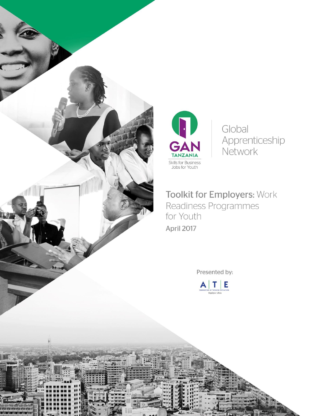



Global Apprenticeship Network

**Toolkit for Employers: Work** Readiness Programmes for Youth

Presented by:

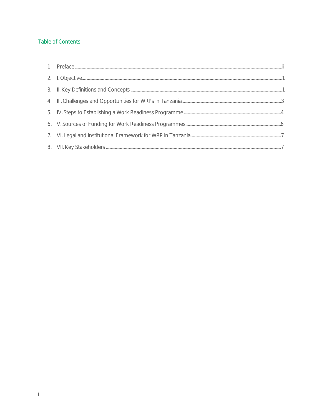# Table of Contents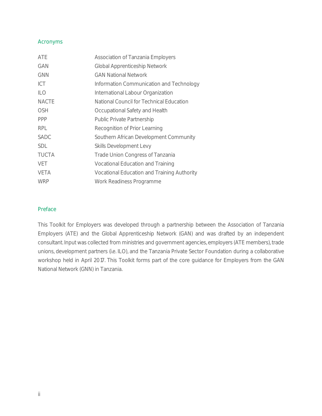#### Acronyms

| ATE          | Association of Tanzania Employers           |
|--------------|---------------------------------------------|
| GAN          | Global Apprenticeship Network               |
| <b>GNN</b>   | <b>GAN National Network</b>                 |
| ICT          | Information Communication and Technology    |
| <b>ILO</b>   | International Labour Organization           |
| <b>NACTE</b> | National Council for Technical Education    |
| OSH          | Occupational Safety and Health              |
| <b>PPP</b>   | Public Private Partnership                  |
| <b>RPL</b>   | Recognition of Prior Learning               |
| SADC         | Southern African Development Community      |
| <b>SDL</b>   | Skills Development Levy                     |
| <b>TUCTA</b> | Trade Union Congress of Tanzania            |
| <b>VET</b>   | Vocational Education and Training           |
| VETA         | Vocational Education and Training Authority |
| <b>WRP</b>   | Work Readiness Programme                    |

### <span id="page-2-0"></span>Preface

This Toolkit for Employers was developed through a partnership between the Association of Tanzania Employers (ATE) and the Global Apprenticeship Network (GAN) and was drafted by an independent consultant. Input was collected from ministries and government agencies, employers (ATE members), trade unions, development partners (i.e. ILO), and the Tanzania Private Sector Foundation during a collaborative workshop held in April 2017. This Toolkit forms part of the core guidance for Employers from the GAN National Network (GNN) in Tanzania.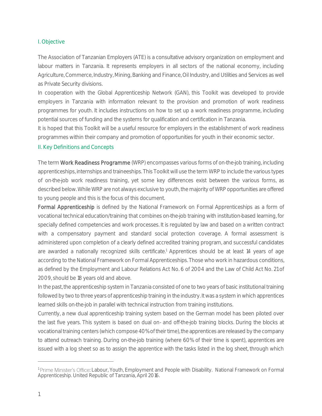### <span id="page-3-0"></span>I. Objective

The Association of Tanzanian Employers (ATE) is a consultative advisory organization on employment and labour matters in Tanzania. It represents employers in all sectors of the national economy, including Agriculture, Commerce, Industry, Mining, Banking and Finance, Oil Industry, and Utilities and Services as well as Private Security divisions.

In cooperation with the Global Apprenticeship Network (GAN), this Toolkit was developed to provide employers in Tanzania with information relevant to the provision and promotion of work readiness programmes for youth. It includes instructions on how to set up a work readiness programme, including potential sources of funding and the systems for qualification and certification in Tanzania.

It is hoped that this Toolkit will be a useful resource for employers in the establishment of work readiness programmes within their company and promotion of opportunities for youth in their economic sector.

### <span id="page-3-1"></span>II. Key Definitions and Concepts

The term Work Readiness Programme (WRP) encompasses various forms of on-the-job training, including apprenticeships, internships and traineeships. This Toolkit will use the term WRP to include the various types of on-the-job work readiness training, yet some key differences exist between the various forms, as described below. While WRP are not always exclusive to youth, the majority of WRP opportunities are offered to young people and this is the focus of this document.

Formal Apprenticeship is defined by the National Framework on Formal Apprenticeships as a form of vocational technical education/training that combines on-the-job training with institution-based learning, for specially defined competencies and work processes. It is regulated by law and based on a written contract with a compensatory payment and standard social protection coverage. A formal assessment is administered upon completion of a clearly defined accredited training program, and successful candidates are awarded a nationally recognized skills certificate.<sup>1</sup> Apprentices should be at least 14 years of age according to the National Framework on Formal Apprenticeships. Those who work in hazardous conditions, as defined by the Employment and Labour Relations Act No. 6 of 2004 and the Law of Child Act No. 21 of 2009, should be 18 years old and above.

In the past, the apprenticeship system in Tanzania consisted of one to two years of basic institutional training followed by two to three years of apprenticeship training in the industry. It was a system in which apprentices learned skills on-the-job in parallel with technical instruction from training institutions.

Currently, a new dual apprenticeship training system based on the German model has been piloted over the last five years. This system is based on dual on- and off-the-job training blocks. During the blocks at vocational training centers (which compose 40% of their time), the apprentices are released by the company to attend outreach training. During on-the-job training (where 60% of their time is spent), apprentices are issued with a log sheet so as to assign the apprentice with the tasks listed in the log sheet, through which

<sup>&</sup>lt;sup>1</sup> Prime Minister's Office: Labour, Youth, Employment and People with Disability. National Framework on Formal *Apprenticeship.* United Republic of Tanzania, April 2016.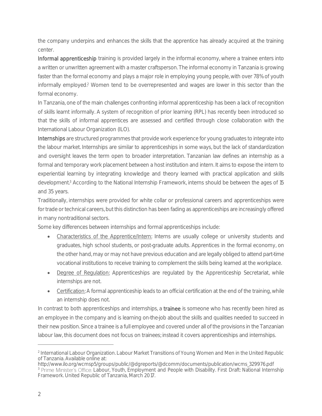the company underpins and enhances the skills that the apprentice has already acquired at the training center.

Informal apprenticeship training is provided largely in the informal economy, where a trainee enters into a written or unwritten agreement with a master craftsperson. The informal economy in Tanzania is growing faster than the formal economy and plays a major role in employing young people, with over 78% of youth informally employed.<sup>2</sup> Women tend to be overrepresented and wages are lower in this sector than the formal economy.

In Tanzania, one of the main challenges confronting informal apprenticeship has been a lack of recognition of skills learnt informally. A system of recognition of prior learning (RPL) has recently been introduced so that the skills of informal apprentices are assessed and certified through close collaboration with the International Labour Organization (ILO).

Internships are structured programmes that provide work experience for young graduates to integrate into the labour market. Internships are similar to apprenticeships in some ways, but the lack of standardization and oversight leaves the term open to broader interpretation. Tanzanian law defines an internship as a formal and temporary work placement between a host institution and intern. It aims to expose the intern to experiential learning by integrating knowledge and theory learned with practical application and skills development.<sup>3</sup> According to the National Internship Framework, interns should be between the ages of 15 and 35 years.

Traditionally, internships were provided for white collar or professional careers and apprenticeships were for trade or technical careers, but this distinction has been fading as apprenticeships are increasingly offered in many nontraditional sectors.

Some key differences between internships and formal apprenticeships include:

- Characteristics of the Apprentice/Intern: Interns are usually college or university students and graduates, high school students, or post-graduate adults. Apprentices in the formal economy, on the other hand, may or may not have previous education and are legally obliged to attend part-time vocational institutions to receive training to complement the skills being learned at the workplace.
- Degree of Regulation: Apprenticeships are regulated by the Apprenticeship Secretariat, while internships are not.
- Certification: A formal apprenticeship leads to an official certification at the end of the training, while an internship does not.

In contrast to both apprenticeships and internships, a trainee is someone who has recently been hired as an employee in the company and is learning on-the-job about the skills and qualities needed to succeed in their new position. Since a trainee is a full employee and covered under all of the provisions in the Tanzanian labour law, this document does not focus on trainees; instead it covers apprenticeships and internships.

<sup>2</sup> International Labour Organization. Labour Market Transitions of Young Women and Men in the United Republic of Tanzania. Available online at:

http://www.ilo.org/wcmsp5/groups/public/@dgreports/@dcomm/documents/publication/wcms\_329976.pdf <sup>3</sup> Prime Minister's Office: Labour, Youth, Employment and People with Disability. *First Draft: National Internship Framework.* United Republic of Tanzania, March 2017.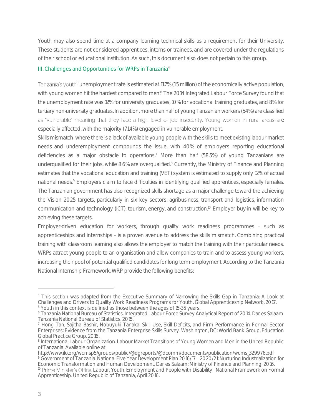Youth may also spend time at a company learning technical skills as a requirement for their University. These students are not considered apprentices, interns or trainees, and are covered under the regulations of their school or educational institution. As such, this document also does not pertain to this group.

## <span id="page-5-0"></span>III. Challenges and Opportunities for WRPs in Tanzania<sup>4</sup>

Tanzania's youth<sup>5</sup> unemployment rate is estimated at 11.7% (1.5 million) of the economically active population, with young women hit the hardest compared to men.<sup>6</sup> The 2014 Integrated Labour Force Survey found that the unemployment rate was 12% for university graduates, 10% for vocational training graduates, and 8% for tertiary non-university graduates. In addition, more than half of young Tanzanian workers (54%) are classified as "vulnerable" meaning that they face a high level of job insecurity. Young women in rural areas are especially affected, with the majority (71.4%) engaged in vulnerable employment.

Skills mismatch where there is a lack of available young people with the skills to meet existing labour market needs-and underemployment compounds the issue, with 40% of employers reporting educational deficiencies as a major obstacle to operations.<sup>7</sup> More than half (58.5%) of young Tanzanians are underqualified for their jobs, while 8.6% are overqualified.<sup>8</sup> Currently, the Ministry of Finance and Planning estimates that the vocational education and training (VET) system is estimated to supply only 12% of actual national needs.<sup>9</sup> Employers claim to face difficulties in identifying qualified apprentices, especially females. The Tanzanian government has also recognized skills shortage as a major challenge toward the achieving the Vision 2025 targets, particularly in six key sectors: agribusiness, transport and logistics, information communication and technology (ICT), tourism, energy, and construction.<sup>10</sup> Employer buy-in will be key to achieving these targets.

Employer-driven education for workers, through quality work readiness programmes - such as apprenticeships and internships - is a proven avenue to address the skills mismatch. Combining practical training with classroom learning also allows the employer to match the training with their particular needs. WRPs attract young people to an organisation and allow companies to train and to assess young workers, increasing their pool of potential qualified candidates for long term employment. According to the Tanzania National Internship Framework, WRP provide the following benefits:

<sup>5</sup> Youth in this context is defined as those between the ages of 15-35 years.

<sup>4</sup> This section was adapted from the Executive Summary of Narrowing the Skills Gap in Tanzania: A Look at Challenges and Drivers to Quality Work Readiness Programs for Youth. Global Apprenticeship Network, 2017.

<sup>6</sup> Tanzania National Bureau of Statistics. Integrated Labour Force Survey Analytical Report of 2014. Dar es Salaam: Tanzania National Bureau of Statistics. 2015.

<sup>7</sup> Hong Tan, Sajitha Bashir, Nobuyuki Tanaka. Skill Use, Skill Deficits, and Firm Performance in Formal Sector Enterprises: Evidence from the Tanzania Enterprise Skills Survey. Washington, DC: World Bank Group, Education Global Practice Group. 2016.

<sup>&</sup>lt;sup>8</sup> International Labour Organization. Labour Market Transitions of Young Women and Men in the United Republic of Tanzania. Available online at

http://www.ilo.org/wcmsp5/groups/public/@dgreports/@dcomm/documents/publication/wcms\_329976.pdf <sup>9</sup> Government of Tanzania. National Five Year Development Plan 2016/17 - 2020/21: Nurturing Industrialization for Economic Transformation and Human Development. Dar es Salaam: Ministry of Finance and Planning. 2016. <sup>10</sup> Prime Minister's Office: Labour, Youth, Employment and People with Disability. National Framework on Formal *Apprenticeship.* United Republic of Tanzania, April 2016.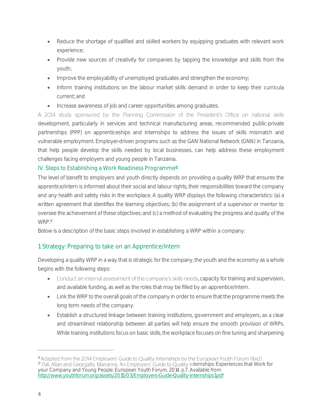- Reduce the shortage of qualified and skilled workers by equipping graduates with relevant work experience;
- Provide new sources of creativity for companies by tapping the knowledge and skills from the youth;
- Improve the employability of unemployed graduates and strengthen the economy;
- Inform training institutions on the labour market skills demand in order to keep their curricula current; and
- Increase awareness of job and career opportunities among graduates.

A 2014 study sponsored by the Planning Commission of the President's Office on national skills development, particularly in services and technical manufacturing areas, recommended public-private partnerships (PPP) on apprenticeships and internships to address the issues of skills mismatch and vulnerable employment. Employer-driven programs such as the GAN National Network (GNN) in Tanzania, that help people develop the skills needed by local businesses, can help address these employment challenges facing employers and young people in Tanzania.

## <span id="page-6-0"></span>IV. Steps to Establishing a Work Readiness Programme<sup>n</sup>

The level of benefit to employers and youth directly depends on providing a quality WRP that ensures the apprentice/intern is informed about their social and labour rights, their responsibilities toward the company and any health and safety risks in the workplace. A quality WRP displays the following characteristics: (a) a written agreement that identifies the learning objectives; (b) the assignment of a supervisor or mentor to oversee the achievement of these objectives; and (c) a method of evaluating the progress and quality of the WRP.<sup>12</sup>

Below is a description of the basic steps involved in establishing a WRP within a company:

# 1. Strategy: Preparing to take on an Apprentice/Intern

Developing a quality WRP in a way that is strategic for the company, the youth and the economy as a whole begins with the following steps:

- Conduct an internal assessment of the company's skills needs, capacity for training and supervision, and available funding, as well as the roles that may be filled by an apprentice/intern.
- Link the WRP to the overall goals of the company in order to ensure that the programme meets the long term needs of the company.
- Establish a structured linkage between training institutions, government and employers, as a clear and streamlined relationship between all parties will help ensure the smooth provision of WRPs. While training institutions focus on basic skills, the workplace focuses on fine tuning and sharpening

<sup>&</sup>lt;sup>11</sup> Adapted from the 2014 Employers' Guide to Quality Internships by the European Youth Forum (Ibid.) <sup>12</sup> Pall, Allan and Georgallis, Marianna. An Employers' Guide to Quality Internships: Experiences that Work for your Company and Young People. European Youth Forum. 2014. p.7. Available from <http://www.youthforum.org/assets/2015/03/Employers-Guide-Quality-internships1.pdf>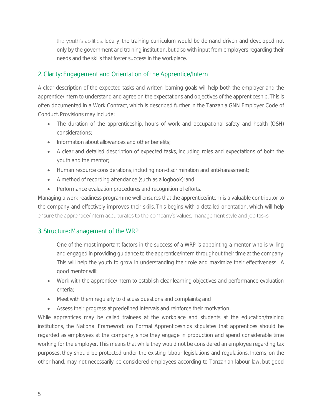the youth's abilities. Ideally, the training curriculum would be demand driven and developed not only by the government and training institution, but also with input from employers regarding their needs and the skills that foster success in the workplace.

## 2. Clarity: Engagement and Orientation of the Apprentice/Intern

A clear description of the expected tasks and written learning goals will help both the employer and the apprentice/intern to understand and agree on the expectations and objectives of the apprenticeship. This is often documented in a Work Contract, which is described further in the Tanzania GNN Employer Code of Conduct. Provisions may include:

- The duration of the apprenticeship, hours of work and occupational safety and health (OSH) considerations;
- Information about allowances and other benefits:
- A clear and detailed description of expected tasks, including roles and expectations of both the youth and the mentor;
- Human resource considerations, including non-discrimination and anti-harassment;
- A method of recording attendance (such as a logbook); and
- Performance evaluation procedures and recognition of efforts.

Managing a work readiness programme well ensures that the apprentice/intern is a valuable contributor to the company and effectively improves their skills. This begins with a detailed orientation, which will help ensure the apprentice/intern acculturates to the company's values, management style and job tasks.

## 3. Structure: Management of the WRP

One of the most important factors in the success of a WRP is appointing a mentor who is willing and engaged in providing guidance to the apprentice/intern throughout their time at the company. This will help the youth to grow in understanding their role and maximize their effectiveness. A good mentor will:

- Work with the apprentice/intern to establish clear learning objectives and performance evaluation criteria;
- Meet with them regularly to discuss questions and complaints; and
- Assess their progress at predefined intervals and reinforce their motivation.

While apprentices may be called trainees at the workplace and students at the education/training institutions, the National Framework on Formal Apprenticeships stipulates that apprentices should be regarded as employees at the company, since they engage in production and spend considerable time working for the employer. This means that while they would not be considered an employee regarding tax purposes, they should be protected under the existing labour legislations and regulations. Interns, on the other hand, may not necessarily be considered employees according to Tanzanian labour law, but good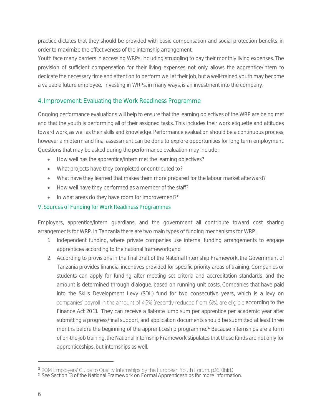practice dictates that they should be provided with basic compensation and social protection benefits, in order to maximize the effectiveness of the internship arrangement.

Youth face many barriers in accessing WRPs, including struggling to pay their monthly living expenses. The provision of sufficient compensation for their living expenses not only allows the apprentice/intern to dedicate the necessary time and attention to perform well at their job, but a well-trained youth may become a valuable future employee. Investing in WRPs, in many ways, is an investment into the company.

# 4. Improvement: Evaluating the Work Readiness Programme

Ongoing performance evaluations will help to ensure that the learning objectives of the WRP are being met and that the youth is performing all of their assigned tasks. This includes their work etiquette and attitudes toward work, as well as their skills and knowledge. Performance evaluation should be a continuous process, however a midterm and final assessment can be done to explore opportunities for long term employment. Questions that may be asked during the performance evaluation may include:

- How well has the apprentice/intern met the learning objectives?
- What projects have they completed or contributed to?
- What have they learned that makes them more prepared for the labour market afterward?
- How well have they performed as a member of the staff?
- $\bullet$  In what areas do they have room for improvement?<sup>13</sup>

### <span id="page-8-0"></span>V. Sources of Funding for Work Readiness Programmes

Employers, apprentice/intern guardians, and the government all contribute toward cost sharing arrangements for WRP. In Tanzania there are two main types of funding mechanisms for WRP:

- 1. Independent funding, where private companies use internal funding arrangements to engage apprentices according to the national framework; and
- 2. According to provisions in the final draft of the National Internship Framework, the Government of Tanzania provides financial incentives provided for specific priority areas of training. Companies or students can apply for funding after meeting set criteria and accreditation standards, and the amount is determined through dialogue, based on running unit costs. Companies that have paid into the Skills Development Levy (SDL) fund for two consecutive years, which is a levy on companies' payroll in the amount of 4.5% (recently reduced from 6%), are eligible according to the Finance Act 2013. They can receive a flat-rate lump sum per apprentice per academic year after submitting a progress/final support, and application documents should be submitted at least three months before the beginning of the apprenticeship programme.<sup>14</sup> Because internships are a form of on-the-job training, the National Internship Framework stipulates that these funds are not only for apprenticeships, but internships as well.

<sup>13 2014</sup> Employers' Guide to Quality Internships by the European Youth Forum. p.16. (Ibid.)

<sup>14</sup> See Section 13 of the National Framework on Formal Apprenticeships for more information.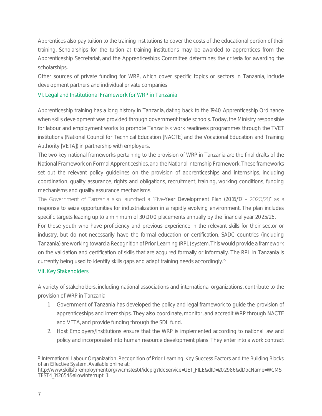Apprentices also pay tuition to the training institutions to cover the costs of the educational portion of their training. Scholarships for the tuition at training institutions may be awarded to apprentices from the Apprenticeship Secretariat, and the Apprenticeships Committee determines the criteria for awarding the scholarships.

Other sources of private funding for WRP, which cover specific topics or sectors in Tanzania, include development partners and individual private companies.

## <span id="page-9-0"></span>VI. Legal and Institutional Framework for WRP in Tanzania

Apprenticeship training has a long history in Tanzania, dating back to the 1940 Apprenticeship Ordinance when skills development was provided through government trade schools. Today, the Ministry responsible for labour and employment works to promote Tanzania's work readiness programmes through the TVET institutions (National Council for Technical Education [NACTE] and the Vocational Education and Training Authority [VETA]) in partnership with employers.

The two key national frameworks pertaining to the provision of WRP in Tanzania are the final drafts of the National Framework on Formal Apprenticeships, and the National Internship Framework. These frameworks set out the relevant policy guidelines on the provision of apprenticeships and internships, including coordination, quality assurance, rights and obligations, recruitment, training, working conditions, funding mechanisms and quality assurance mechanisms.

The Government of Tanzania also launched a "Five-Year Development Plan (2016/17 - 2020/21)" as a response to seize opportunities for industrialization in a rapidly evolving environment. The plan includes specific targets leading up to a minimum of 30,000 placements annually by the financial year 2025/26.

For those youth who have proficiency and previous experience in the relevant skills for their sector or industry, but do not necessarily have the formal education or certification, SADC countries (including Tanzania) are working toward a Recognition of Prior Learning (RPL) system. This would provide a framework on the validation and certification of skills that are acquired formally or informally. The RPL in Tanzania is currently being used to identify skills gaps and adapt training needs accordingly.<sup>15</sup>

## <span id="page-9-1"></span>VII. Key Stakeholders

A variety of stakeholders, including national associations and international organizations, contribute to the provision of WRP in Tanzania.

- 1. Government of Tanzania has developed the policy and legal framework to guide the provision of apprenticeships and internships. They also coordinate, monitor, and accredit WRP through NACTE and VETA, and provide funding through the SDL fund.
- 2. Host Employers/Institutions ensure that the WRP is implemented according to national law and policy and incorporated into human resource development plans. They enter into a work contract

<sup>&</sup>lt;sup>15</sup> International Labour Organization. Recognition of Prior Learning: Key Success Factors and the Building Blocks of an Effective System. Available online at:

http://www.skillsforemployment.org/wcmstest4/idcplg?IdcService=GET\_FILE&dID=202986&dDocName=WCMS TEST4\_142654&allowInterrupt=1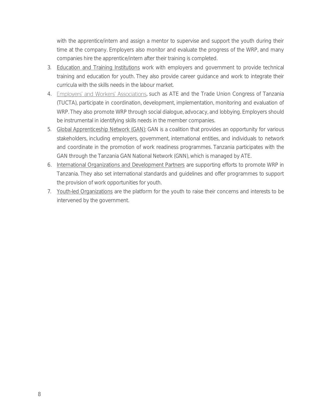with the apprentice/intern and assign a mentor to supervise and support the youth during their time at the company. Employers also monitor and evaluate the progress of the WRP, and many companies hire the apprentice/intern after their training is completed.

- 3. Education and Training Institutions work with employers and government to provide technical training and education for youth. They also provide career guidance and work to integrate their curricula with the skills needs in the labour market.
- 4. Employers' and Workers' Associations, such as ATE and the Trade Union Congress of Tanzania (TUCTA), participate in coordination, development, implementation, monitoring and evaluation of WRP. They also promote WRP through social dialogue, advocacy, and lobbying. Employers should be instrumental in identifying skills needs in the member companies.
- 5. Global Apprenticeship Network (GAN): GAN is a coalition that provides an opportunity for various stakeholders, including employers, government, international entities, and individuals to network and coordinate in the promotion of work readiness programmes. Tanzania participates with the GAN through the Tanzania GAN National Network (GNN), which is managed by ATE.
- 6. International Organizations and Development Partners are supporting efforts to promote WRP in Tanzania. They also set international standards and guidelines and offer programmes to support the provision of work opportunities for youth.
- 7. Youth-led Organizations are the platform for the youth to raise their concerns and interests to be intervened by the government.